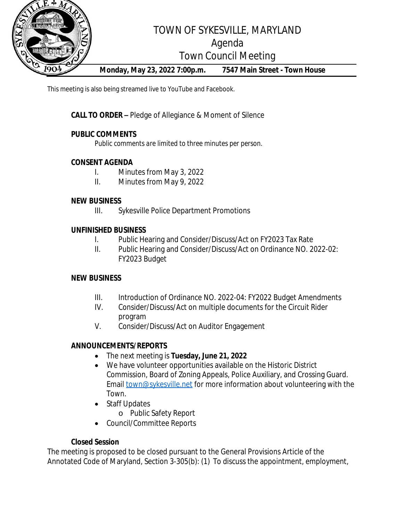

This meeting is also being streamed live to YouTube and Facebook.

**CALL TO ORDER –** Pledge of Allegiance & Moment of Silence

## **PUBLIC COMMENTS**

*Public comments are limited to three minutes per person.*

## **CONSENT AGENDA**

- I. Minutes from May 3, 2022
- II. Minutes from May 9, 2022

#### **NEW BUSINESS**

III. Sykesville Police Department Promotions

### **UNFINISHED BUSINESS**

- I. Public Hearing and Consider/Discuss/Act on FY2023 Tax Rate
- II. Public Hearing and Consider/Discuss/Act on Ordinance NO. 2022-02: FY2023 Budget

#### **NEW BUSINESS**

- III. Introduction of Ordinance NO. 2022-04: FY2022 Budget Amendments
- IV. Consider/Discuss/Act on multiple documents for the Circuit Rider program
- V. Consider/Discuss/Act on Auditor Engagement

## **ANNOUNCEMENTS/REPORTS**

- The next meeting is **Tuesday, June 21, 2022**
- We have volunteer opportunities available on the Historic District Commission, Board of Zoning Appeals, Police Auxiliary, and Crossing Guard. Email [town@sykesville.net](mailto:town@sykesville.net) for more information about volunteering with the Town.
- Staff Updates
	- o Public Safety Report
- Council/Committee Reports

## **Closed Session**

The meeting is proposed to be closed pursuant to the General Provisions Article of the Annotated Code of Maryland, Section 3-305(b): (1) To discuss the appointment, employment,